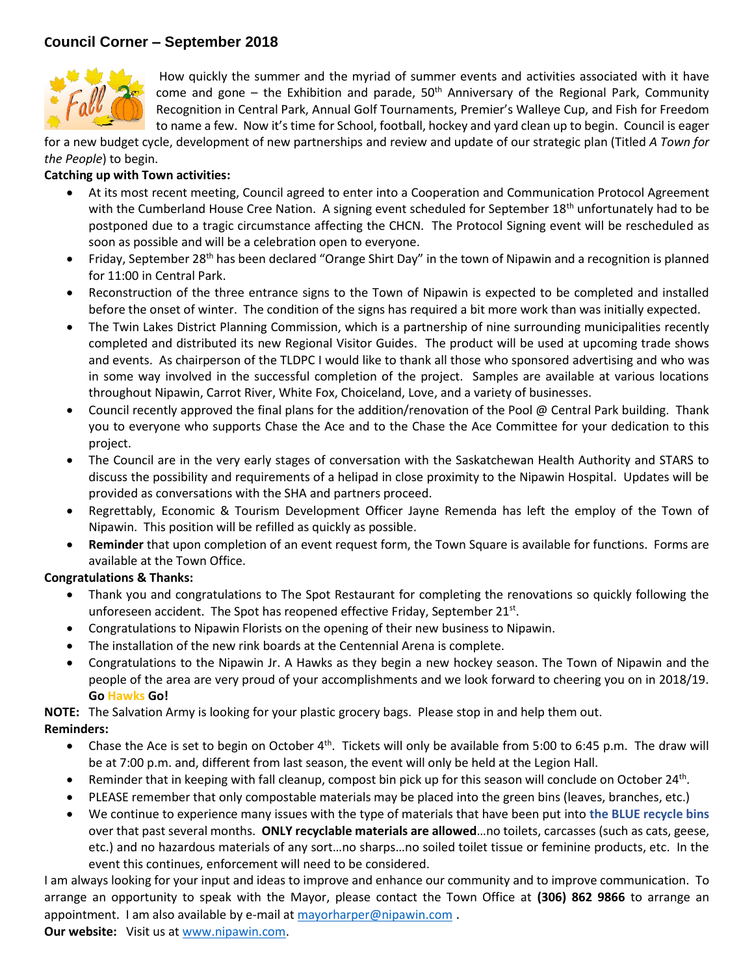## **Council Corner – September 2018**



How quickly the summer and the myriad of summer events and activities associated with it have come and gone – the Exhibition and parade,  $50<sup>th</sup>$  Anniversary of the Regional Park, Community Recognition in Central Park, Annual Golf Tournaments, Premier's Walleye Cup, and Fish for Freedom to name a few. Now it's time for School, football, hockey and yard clean up to begin. Council is eager

for a new budget cycle, development of new partnerships and review and update of our strategic plan (Titled *A Town for the People*) to begin.

## **Catching up with Town activities:**

- At its most recent meeting, Council agreed to enter into a Cooperation and Communication Protocol Agreement with the Cumberland House Cree Nation. A signing event scheduled for September  $18<sup>th</sup>$  unfortunately had to be postponed due to a tragic circumstance affecting the CHCN. The Protocol Signing event will be rescheduled as soon as possible and will be a celebration open to everyone.
- Friday, September 28<sup>th</sup> has been declared "Orange Shirt Day" in the town of Nipawin and a recognition is planned for 11:00 in Central Park.
- Reconstruction of the three entrance signs to the Town of Nipawin is expected to be completed and installed before the onset of winter. The condition of the signs has required a bit more work than was initially expected.
- The Twin Lakes District Planning Commission, which is a partnership of nine surrounding municipalities recently completed and distributed its new Regional Visitor Guides. The product will be used at upcoming trade shows and events. As chairperson of the TLDPC I would like to thank all those who sponsored advertising and who was in some way involved in the successful completion of the project. Samples are available at various locations throughout Nipawin, Carrot River, White Fox, Choiceland, Love, and a variety of businesses.
- Council recently approved the final plans for the addition/renovation of the Pool @ Central Park building. Thank you to everyone who supports Chase the Ace and to the Chase the Ace Committee for your dedication to this project.
- The Council are in the very early stages of conversation with the Saskatchewan Health Authority and STARS to discuss the possibility and requirements of a helipad in close proximity to the Nipawin Hospital. Updates will be provided as conversations with the SHA and partners proceed.
- Regrettably, Economic & Tourism Development Officer Jayne Remenda has left the employ of the Town of Nipawin. This position will be refilled as quickly as possible.
- **Reminder** that upon completion of an event request form, the Town Square is available for functions. Forms are available at the Town Office.

## **Congratulations & Thanks:**

- Thank you and congratulations to The Spot Restaurant for completing the renovations so quickly following the unforeseen accident. The Spot has reopened effective Friday, September 21 $^{\text{st}}$ .
- Congratulations to Nipawin Florists on the opening of their new business to Nipawin.
- The installation of the new rink boards at the Centennial Arena is complete.
- Congratulations to the Nipawin Jr. A Hawks as they begin a new hockey season. The Town of Nipawin and the people of the area are very proud of your accomplishments and we look forward to cheering you on in 2018/19. **Go Hawks Go!**

**NOTE:** The Salvation Army is looking for your plastic grocery bags. Please stop in and help them out.

## **Reminders:**

- Chase the Ace is set to begin on October 4<sup>th</sup>. Tickets will only be available from 5:00 to 6:45 p.m. The draw will be at 7:00 p.m. and, different from last season, the event will only be held at the Legion Hall.
- Reminder that in keeping with fall cleanup, compost bin pick up for this season will conclude on October 24<sup>th</sup>.
- PLEASE remember that only compostable materials may be placed into the green bins (leaves, branches, etc.)
- We continue to experience many issues with the type of materials that have been put into **the BLUE recycle bins** over that past several months. **ONLY recyclable materials are allowed**…no toilets, carcasses (such as cats, geese, etc.) and no hazardous materials of any sort…no sharps…no soiled toilet tissue or feminine products, etc. In the event this continues, enforcement will need to be considered.

I am always looking for your input and ideas to improve and enhance our community and to improve communication. To arrange an opportunity to speak with the Mayor, please contact the Town Office at **(306) 862 9866** to arrange an appointment. I am also available by e-mail a[t mayorharper@nipawin.com](mailto:mayorharper@nipawin.com).

**Our website:** Visit us at [www.nipawin.com.](http://www.nipawin.com/)